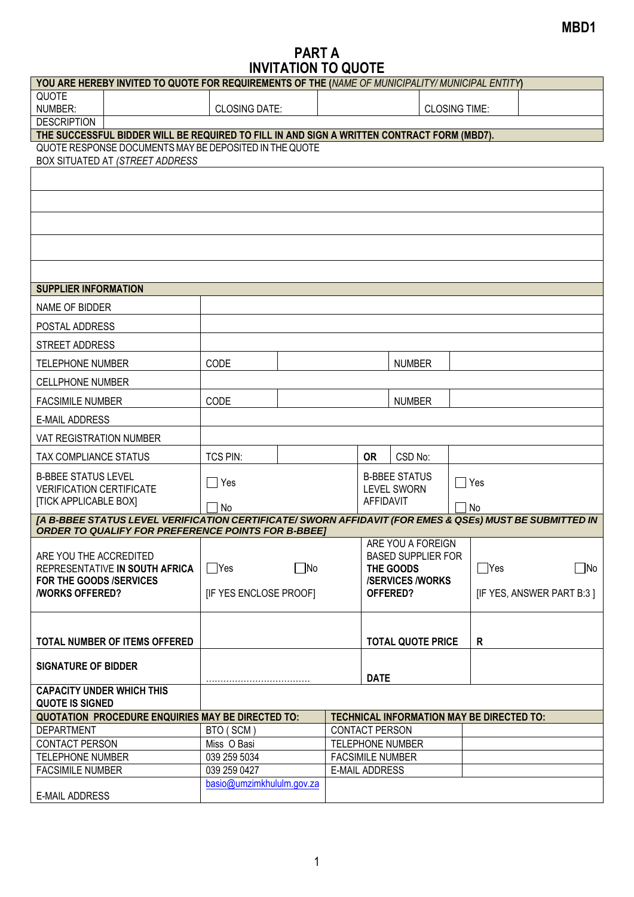## **MBD1**

## **PART A INVITATION TO QUOTE**

|                                                                                            | YOU ARE HEREBY INVITED TO QUOTE FOR REQUIREMENTS OF THE (NAME OF MUNICIPALITY/ MUNICIPAL ENTITY)        |                                                          |                       |                                                  |                                 |                           |   |            |  |  |
|--------------------------------------------------------------------------------------------|---------------------------------------------------------------------------------------------------------|----------------------------------------------------------|-----------------------|--------------------------------------------------|---------------------------------|---------------------------|---|------------|--|--|
| QUOTE<br>NUMBER:                                                                           |                                                                                                         | <b>CLOSING DATE:</b>                                     |                       |                                                  | <b>CLOSING TIME:</b>            |                           |   |            |  |  |
| <b>DESCRIPTION</b>                                                                         |                                                                                                         |                                                          |                       |                                                  |                                 |                           |   |            |  |  |
| THE SUCCESSFUL BIDDER WILL BE REQUIRED TO FILL IN AND SIGN A WRITTEN CONTRACT FORM (MBD7). |                                                                                                         |                                                          |                       |                                                  |                                 |                           |   |            |  |  |
| QUOTE RESPONSE DOCUMENTS MAY BE DEPOSITED IN THE QUOTE<br>BOX SITUATED AT (STREET ADDRESS  |                                                                                                         |                                                          |                       |                                                  |                                 |                           |   |            |  |  |
|                                                                                            |                                                                                                         |                                                          |                       |                                                  |                                 |                           |   |            |  |  |
|                                                                                            |                                                                                                         |                                                          |                       |                                                  |                                 |                           |   |            |  |  |
|                                                                                            |                                                                                                         |                                                          |                       |                                                  |                                 |                           |   |            |  |  |
|                                                                                            |                                                                                                         |                                                          |                       |                                                  |                                 |                           |   |            |  |  |
|                                                                                            |                                                                                                         |                                                          |                       |                                                  |                                 |                           |   |            |  |  |
| <b>SUPPLIER INFORMATION</b>                                                                |                                                                                                         |                                                          |                       |                                                  |                                 |                           |   |            |  |  |
| NAME OF BIDDER                                                                             |                                                                                                         |                                                          |                       |                                                  |                                 |                           |   |            |  |  |
| POSTAL ADDRESS                                                                             |                                                                                                         |                                                          |                       |                                                  |                                 |                           |   |            |  |  |
| <b>STREET ADDRESS</b>                                                                      |                                                                                                         |                                                          |                       |                                                  |                                 |                           |   |            |  |  |
| <b>TELEPHONE NUMBER</b>                                                                    |                                                                                                         | CODE                                                     |                       |                                                  |                                 | <b>NUMBER</b>             |   |            |  |  |
| <b>CELLPHONE NUMBER</b>                                                                    |                                                                                                         |                                                          |                       |                                                  |                                 |                           |   |            |  |  |
| <b>FACSIMILE NUMBER</b>                                                                    |                                                                                                         | CODE                                                     |                       |                                                  | <b>NUMBER</b>                   |                           |   |            |  |  |
| <b>E-MAIL ADDRESS</b>                                                                      |                                                                                                         |                                                          |                       |                                                  |                                 |                           |   |            |  |  |
| <b>VAT REGISTRATION NUMBER</b>                                                             |                                                                                                         |                                                          |                       |                                                  |                                 |                           |   |            |  |  |
| TAX COMPLIANCE STATUS                                                                      |                                                                                                         | TCS PIN:                                                 |                       |                                                  | <b>OR</b>                       | CSD No:                   |   |            |  |  |
| <b>B-BBEE STATUS LEVEL</b>                                                                 |                                                                                                         | $\Box$ Yes                                               |                       |                                                  | <b>B-BBEE STATUS</b>            |                           |   | $\Box$ Yes |  |  |
| <b>VERIFICATION CERTIFICATE</b><br><b>[TICK APPLICABLE BOX]</b>                            |                                                                                                         | <b>No</b>                                                |                       |                                                  | <b>LEVEL SWORN</b><br>AFFIDAVIT |                           |   | No         |  |  |
|                                                                                            | [A B-BBEE STATUS LEVEL VERIFICATION CERTIFICATE/ SWORN AFFIDAVIT (FOR EMES & QSEs) MUST BE SUBMITTED IN |                                                          |                       |                                                  |                                 |                           |   |            |  |  |
|                                                                                            | <b>ORDER TO QUALIFY FOR PREFERENCE POINTS FOR B-BBEET</b>                                               |                                                          |                       |                                                  |                                 |                           |   |            |  |  |
| ARE YOU THE ACCREDITED                                                                     |                                                                                                         |                                                          |                       | ARE YOU A FOREIGN<br><b>BASED SUPPLIER FOR</b>   |                                 |                           |   |            |  |  |
| REPRESENTATIVE IN SOUTH AFRICA                                                             |                                                                                                         | $\neg$ No<br>$\Box$ Yes                                  |                       | THE GOODS                                        |                                 | $\Box$ Yes                |   | $\Box$ No  |  |  |
| FOR THE GOODS /SERVICES                                                                    |                                                                                                         | [IF YES ENCLOSE PROOF]                                   |                       | <b>/SERVICES/WORKS</b><br>OFFERED?               |                                 |                           |   |            |  |  |
| <b><i>NORKS OFFERED?</i></b>                                                               |                                                                                                         |                                                          |                       |                                                  |                                 | [IF YES, ANSWER PART B:3] |   |            |  |  |
|                                                                                            |                                                                                                         |                                                          |                       |                                                  |                                 |                           |   |            |  |  |
|                                                                                            | TOTAL NUMBER OF ITEMS OFFERED                                                                           |                                                          |                       | <b>TOTAL QUOTE PRICE</b>                         |                                 |                           | R |            |  |  |
| <b>SIGNATURE OF BIDDER</b>                                                                 |                                                                                                         |                                                          |                       |                                                  | <b>DATE</b>                     |                           |   |            |  |  |
| <b>CAPACITY UNDER WHICH THIS</b><br><b>QUOTE IS SIGNED</b>                                 |                                                                                                         |                                                          |                       |                                                  |                                 |                           |   |            |  |  |
|                                                                                            |                                                                                                         | <b>QUOTATION PROCEDURE ENQUIRIES MAY BE DIRECTED TO:</b> |                       | TECHNICAL INFORMATION MAY BE DIRECTED TO:        |                                 |                           |   |            |  |  |
| <b>DEPARTMENT</b>                                                                          |                                                                                                         | BTO (SCM)                                                | <b>CONTACT PERSON</b> |                                                  |                                 |                           |   |            |  |  |
| <b>CONTACT PERSON</b>                                                                      |                                                                                                         | Miss O Basi                                              |                       |                                                  | <b>TELEPHONE NUMBER</b>         |                           |   |            |  |  |
| <b>TELEPHONE NUMBER</b>                                                                    |                                                                                                         | 039 259 5034                                             |                       | <b>FACSIMILE NUMBER</b><br><b>E-MAIL ADDRESS</b> |                                 |                           |   |            |  |  |
| <b>FACSIMILE NUMBER</b>                                                                    |                                                                                                         | 039 259 0427                                             |                       |                                                  |                                 |                           |   |            |  |  |
| <b>E-MAIL ADDRESS</b>                                                                      |                                                                                                         | basio@umzimkhululm.gov.za                                |                       |                                                  |                                 |                           |   |            |  |  |